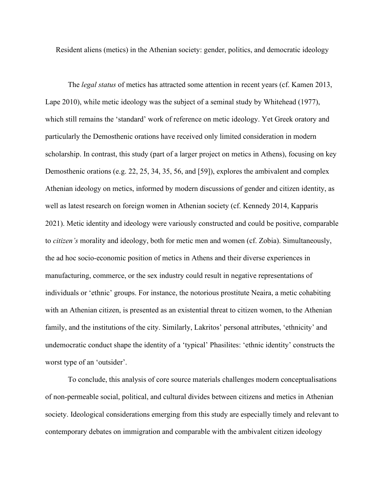Resident aliens (metics) in the Athenian society: gender, politics, and democratic ideology

The *legal status* of metics has attracted some attention in recent years (cf. Kamen 2013, Lape 2010), while metic ideology was the subject of a seminal study by Whitehead (1977), which still remains the 'standard' work of reference on metic ideology. Yet Greek oratory and particularly the Demosthenic orations have received only limited consideration in modern scholarship. In contrast, this study (part of a larger project on metics in Athens), focusing on key Demosthenic orations (e.g. 22, 25, 34, 35, 56, and [59]), explores the ambivalent and complex Athenian ideology on metics, informed by modern discussions of gender and citizen identity, as well as latest research on foreign women in Athenian society (cf. Kennedy 2014, Kapparis 2021). Metic identity and ideology were variously constructed and could be positive, comparable to *citizen's* morality and ideology, both for metic men and women (cf. Zobia). Simultaneously, the ad hoc socio-economic position of metics in Athens and their diverse experiences in manufacturing, commerce, or the sex industry could result in negative representations of individuals or 'ethnic' groups. For instance, the notorious prostitute Neaira, a metic cohabiting with an Athenian citizen, is presented as an existential threat to citizen women, to the Athenian family, and the institutions of the city. Similarly, Lakritos' personal attributes, 'ethnicity' and undemocratic conduct shape the identity of a 'typical' Phasilites: 'ethnic identity' constructs the worst type of an 'outsider'.

To conclude, this analysis of core source materials challenges modern conceptualisations of non-permeable social, political, and cultural divides between citizens and metics in Athenian society. Ideological considerations emerging from this study are especially timely and relevant to contemporary debates on immigration and comparable with the ambivalent citizen ideology